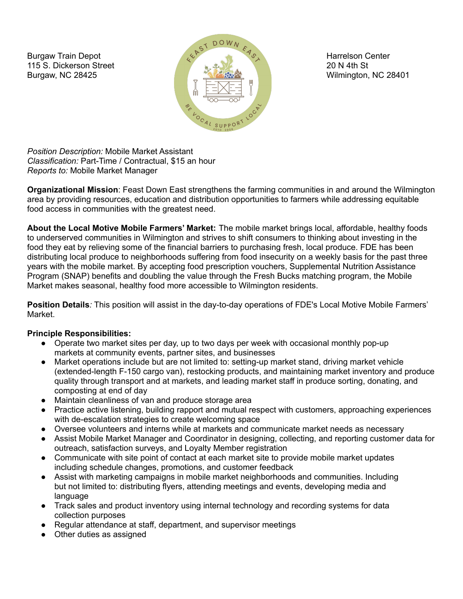Burgaw Train Depot 115 S. Dickerson Street Burgaw, NC 28425



Harrelson Center 20 N 4th St Wilmington, NC 28401

*Position Description:* Mobile Market Assistant *Classification:* Part-Time / Contractual, \$15 an hour *Reports to:* Mobile Market Manager

**Organizational Mission**: Feast Down East strengthens the farming communities in and around the Wilmington area by providing resources, education and distribution opportunities to farmers while addressing equitable food access in communities with the greatest need.

**About the Local Motive Mobile Farmers' Market:** The mobile market brings local, affordable, healthy foods to underserved communities in Wilmington and strives to shift consumers to thinking about investing in the food they eat by relieving some of the financial barriers to purchasing fresh, local produce. FDE has been distributing local produce to neighborhoods suffering from food insecurity on a weekly basis for the past three years with the mobile market. By accepting food prescription vouchers, Supplemental Nutrition Assistance Program (SNAP) benefits and doubling the value through the Fresh Bucks matching program, the Mobile Market makes seasonal, healthy food more accessible to Wilmington residents.

**Position Details***:* This position will assist in the day-to-day operations of FDE's Local Motive Mobile Farmers' Market.

# **Principle Responsibilities:**

- Operate two market sites per day, up to two days per week with occasional monthly pop-up markets at community events, partner sites, and businesses
- Market operations include but are not limited to: setting-up market stand, driving market vehicle (extended-length F-150 cargo van), restocking products, and maintaining market inventory and produce quality through transport and at markets, and leading market staff in produce sorting, donating, and composting at end of day
- Maintain cleanliness of van and produce storage area
- Practice active listening, building rapport and mutual respect with customers, approaching experiences with de-escalation strategies to create welcoming space
- Oversee volunteers and interns while at markets and communicate market needs as necessary
- Assist Mobile Market Manager and Coordinator in designing, collecting, and reporting customer data for outreach, satisfaction surveys, and Loyalty Member registration
- Communicate with site point of contact at each market site to provide mobile market updates including schedule changes, promotions, and customer feedback
- Assist with marketing campaigns in mobile market neighborhoods and communities. Including but not limited to: distributing flyers, attending meetings and events, developing media and language
- Track sales and product inventory using internal technology and recording systems for data collection purposes
- Regular attendance at staff, department, and supervisor meetings
- Other duties as assigned